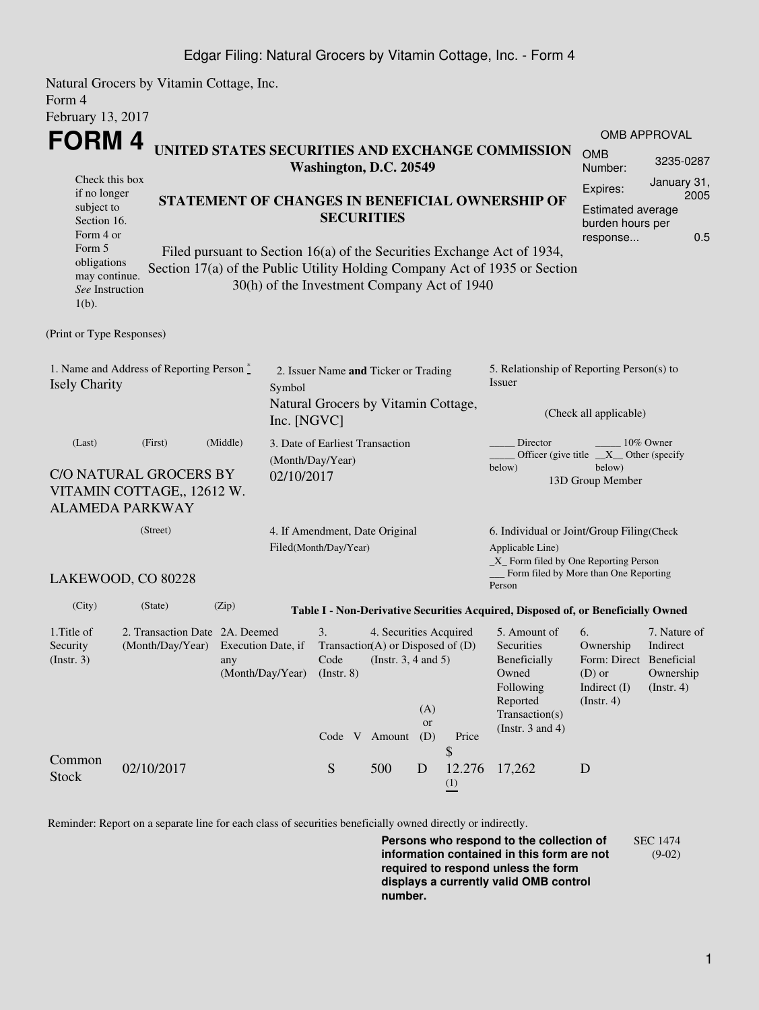## Edgar Filing: Natural Grocers by Vitamin Cottage, Inc. - Form 4

Natural Grocers by Vitamin Cottage, Inc. Form 4 February 13, 2017

|                                                                                                                                                                                                                                                                                                                                                                                                                                                                                                    | FORM4<br>UNITED STATES SECURITIES AND EXCHANGE COMMISSION<br>Washington, D.C. 20549                  |                                               |  |                                                                                       |                                                    |                                                                               |                                 |                                                                                                                                                              | <b>OMB</b><br>Number:                                                        | OMB APPROVAL<br>3235-0287                                               |  |  |
|----------------------------------------------------------------------------------------------------------------------------------------------------------------------------------------------------------------------------------------------------------------------------------------------------------------------------------------------------------------------------------------------------------------------------------------------------------------------------------------------------|------------------------------------------------------------------------------------------------------|-----------------------------------------------|--|---------------------------------------------------------------------------------------|----------------------------------------------------|-------------------------------------------------------------------------------|---------------------------------|--------------------------------------------------------------------------------------------------------------------------------------------------------------|------------------------------------------------------------------------------|-------------------------------------------------------------------------|--|--|
| Check this box<br>Expires:<br>if no longer<br>STATEMENT OF CHANGES IN BENEFICIAL OWNERSHIP OF<br>subject to<br>Estimated average<br><b>SECURITIES</b><br>Section 16.<br>burden hours per<br>Form 4 or<br>response<br>Form 5<br>Filed pursuant to Section 16(a) of the Securities Exchange Act of 1934,<br>obligations<br>Section 17(a) of the Public Utility Holding Company Act of 1935 or Section<br>may continue.<br>30(h) of the Investment Company Act of 1940<br>See Instruction<br>$1(b)$ . |                                                                                                      |                                               |  |                                                                                       |                                                    |                                                                               |                                 |                                                                                                                                                              |                                                                              | January 31,<br>2005<br>0.5                                              |  |  |
| (Print or Type Responses)<br>1. Name and Address of Reporting Person*<br><b>Isely Charity</b>                                                                                                                                                                                                                                                                                                                                                                                                      | 2. Issuer Name and Ticker or Trading<br>Symbol<br>Natural Grocers by Vitamin Cottage,<br>Inc. [NGVC] |                                               |  |                                                                                       |                                                    | 5. Relationship of Reporting Person(s) to<br>Issuer<br>(Check all applicable) |                                 |                                                                                                                                                              |                                                                              |                                                                         |  |  |
| (Last)<br>(First)<br>(Middle)<br>C/O NATURAL GROCERS BY<br>VITAMIN COTTAGE,, 12612 W.<br><b>ALAMEDA PARKWAY</b>                                                                                                                                                                                                                                                                                                                                                                                    |                                                                                                      |                                               |  | 3. Date of Earliest Transaction<br>(Month/Day/Year)<br>02/10/2017                     |                                                    |                                                                               |                                 | Director<br>10% Owner<br>Officer (give title $X$ Other (specify<br>below)<br>below)<br>13D Group Member                                                      |                                                                              |                                                                         |  |  |
| (Street)<br>LAKEWOOD, CO 80228                                                                                                                                                                                                                                                                                                                                                                                                                                                                     |                                                                                                      |                                               |  | 4. If Amendment, Date Original<br>Filed(Month/Day/Year)                               |                                                    |                                                                               |                                 | 6. Individual or Joint/Group Filing(Check<br>Applicable Line)<br>$\_X$ Form filed by One Reporting Person<br>Form filed by More than One Reporting<br>Person |                                                                              |                                                                         |  |  |
| (City)                                                                                                                                                                                                                                                                                                                                                                                                                                                                                             | (State)                                                                                              | (Zip)                                         |  |                                                                                       |                                                    |                                                                               |                                 | Table I - Non-Derivative Securities Acquired, Disposed of, or Beneficially Owned                                                                             |                                                                              |                                                                         |  |  |
| 1. Title of<br>Security<br>(Insert. 3)                                                                                                                                                                                                                                                                                                                                                                                                                                                             | 2. Transaction Date 2A. Deemed<br>(Month/Day/Year)                                                   | Execution Date, if<br>any<br>(Month/Day/Year) |  | 3.<br>Transaction(A) or Disposed of $(D)$<br>Code<br>$($ Instr. $8)$<br>Code V Amount | 4. Securities Acquired<br>(Instr. $3, 4$ and $5$ ) | (A)<br><b>or</b><br>(D)                                                       | Price                           | 5. Amount of<br>Securities<br>Beneficially<br>Owned<br>Following<br>Reported<br>Transaction(s)<br>(Instr. $3$ and $4$ )                                      | 6.<br>Ownership<br>Form: Direct<br>$(D)$ or<br>Indirect $(I)$<br>(Insert. 4) | 7. Nature of<br>Indirect<br>Beneficial<br>Ownership<br>$($ Instr. 4 $)$ |  |  |
| Common<br><b>Stock</b>                                                                                                                                                                                                                                                                                                                                                                                                                                                                             | 02/10/2017                                                                                           |                                               |  | S                                                                                     | 500                                                | D                                                                             | \$<br>12.276<br>$\frac{(1)}{2}$ | 17,262                                                                                                                                                       | D                                                                            |                                                                         |  |  |

Reminder: Report on a separate line for each class of securities beneficially owned directly or indirectly.

**Persons who respond to the collection of information contained in this form are not required to respond unless the form displays a currently valid OMB control number.** SEC 1474 (9-02)